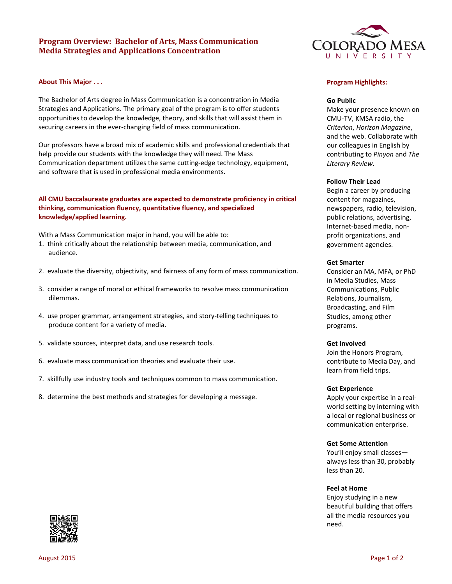# **Program Overview: Bachelor of Arts, Mass Communication Media Strategies and Applications Concentration**

# **About This Major . . .**

The Bachelor of Arts degree in Mass Communication is a concentration in Media Strategies and Applications. The primary goal of the program is to offer students opportunities to develop the knowledge, theory, and skills that will assist them in securing careers in the ever-changing field of mass communication.

Our professors have a broad mix of academic skills and professional credentials that help provide our students with the knowledge they will need. The Mass Communication department utilizes the same cutting-edge technology, equipment, and software that is used in professional media environments.

# **All CMU baccalaureate graduates are expected to demonstrate proficiency in critical thinking, communication fluency, quantitative fluency, and specialized knowledge/applied learning.**

With a Mass Communication major in hand, you will be able to:

- 1. think critically about the relationship between media, communication, and audience.
- 2. evaluate the diversity, objectivity, and fairness of any form of mass communication.
- 3. consider a range of moral or ethical frameworks to resolve mass communication dilemmas.
- 4. use proper grammar, arrangement strategies, and story-telling techniques to produce content for a variety of media.
- 5. validate sources, interpret data, and use research tools.
- 6. evaluate mass communication theories and evaluate their use.
- 7. skillfully use industry tools and techniques common to mass communication.
- 8. determine the best methods and strategies for developing a message.



### **Program Highlights:**

### **Go Public**

Make your presence known on CMU-TV, KMSA radio, the *Criterion*, *Horizon Magazine*, and the web. Collaborate with our colleagues in English by contributing to *Pinyon* and *The Literary Review*.

#### **Follow Their Lead**

Begin a career by producing content for magazines, newspapers, radio, television, public relations, advertising, Internet-based media, nonprofit organizations, and government agencies.

### **Get Smarter**

Consider an MA, MFA, or PhD in Media Studies, Mass Communications, Public Relations, Journalism, Broadcasting, and Film Studies, among other programs.

### **Get Involved**

Join the Honors Program, contribute to Media Day, and learn from field trips.

#### **Get Experience**

Apply your expertise in a realworld setting by interning with a local or regional business or communication enterprise.

### **Get Some Attention**

You'll enjoy small classes always less than 30, probably less than 20.

#### **Feel at Home**

Enjoy studying in a new beautiful building that offers all the media resources you need.